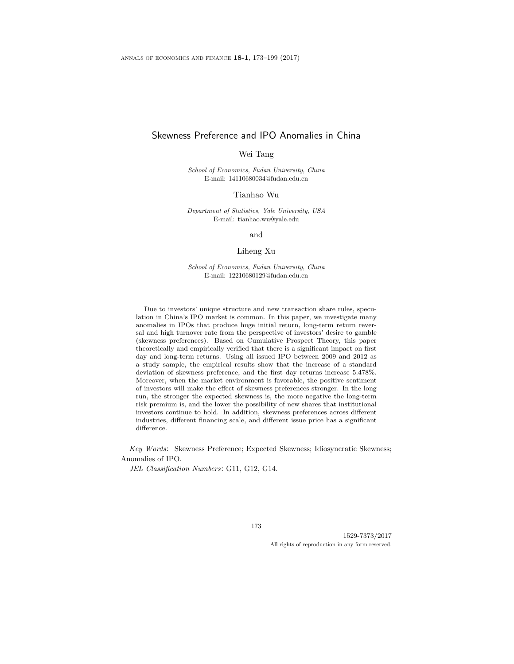# Skewness Preference and IPO Anomalies in China

### Wei Tang

School of Economics, Fudan University, China E-mail: 14110680034@fudan.edu.cn

Tianhao Wu

Department of Statistics, Yale University, USA E-mail: tianhao.wu@yale.edu

and

#### Liheng Xu

School of Economics, Fudan University, China E-mail: 12210680129@fudan.edu.cn

Due to investors' unique structure and new transaction share rules, speculation in China's IPO market is common. In this paper, we investigate many anomalies in IPOs that produce huge initial return, long-term return reversal and high turnover rate from the perspective of investors' desire to gamble (skewness preferences). Based on Cumulative Prospect Theory, this paper theoretically and empirically verified that there is a significant impact on first day and long-term returns. Using all issued IPO between 2009 and 2012 as a study sample, the empirical results show that the increase of a standard deviation of skewness preference, and the first day returns increase 5.478%. Moreover, when the market environment is favorable, the positive sentiment of investors will make the effect of skewness preferences stronger. In the long run, the stronger the expected skewness is, the more negative the long-term risk premium is, and the lower the possibility of new shares that institutional investors continue to hold. In addition, skewness preferences across different industries, different financing scale, and different issue price has a significant difference.

Key Words: Skewness Preference; Expected Skewness; Idiosyncratic Skewness; Anomalies of IPO.

JEL Classification Numbers: G11, G12, G14.

173

1529-7373/2017 All rights of reproduction in any form reserved.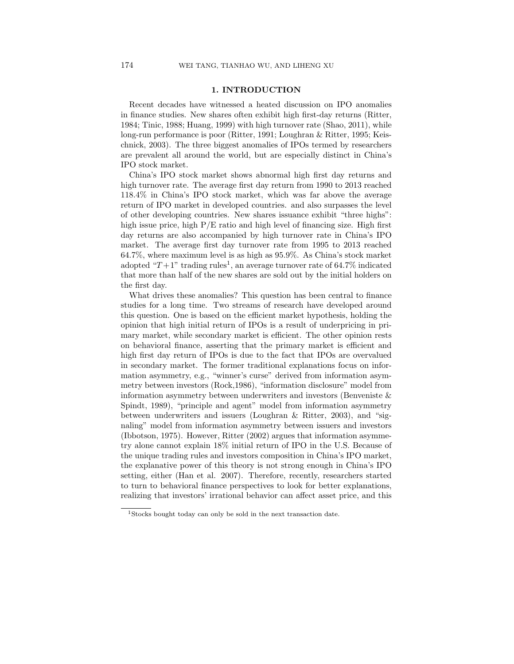## 1. INTRODUCTION

Recent decades have witnessed a heated discussion on IPO anomalies in finance studies. New shares often exhibit high first-day returns (Ritter, 1984; Tinic, 1988; Huang, 1999) with high turnover rate (Shao, 2011), while long-run performance is poor (Ritter, 1991; Loughran & Ritter, 1995; Keischnick, 2003). The three biggest anomalies of IPOs termed by researchers are prevalent all around the world, but are especially distinct in China's IPO stock market.

China's IPO stock market shows abnormal high first day returns and high turnover rate. The average first day return from 1990 to 2013 reached 118.4% in China's IPO stock market, which was far above the average return of IPO market in developed countries. and also surpasses the level of other developing countries. New shares issuance exhibit "three highs": high issue price, high  $P/E$  ratio and high level of financing size. High first day returns are also accompanied by high turnover rate in China's IPO market. The average first day turnover rate from 1995 to 2013 reached 64.7%, where maximum level is as high as 95.9%. As China's stock market adopted " $T+1$ " trading rules<sup>1</sup>, an average turnover rate of 64.7% indicated that more than half of the new shares are sold out by the initial holders on the first day.

What drives these anomalies? This question has been central to finance studies for a long time. Two streams of research have developed around this question. One is based on the efficient market hypothesis, holding the opinion that high initial return of IPOs is a result of underpricing in primary market, while secondary market is efficient. The other opinion rests on behavioral finance, asserting that the primary market is efficient and high first day return of IPOs is due to the fact that IPOs are overvalued in secondary market. The former traditional explanations focus on information asymmetry, e.g., "winner's curse" derived from information asymmetry between investors (Rock,1986), "information disclosure" model from information asymmetry between underwriters and investors (Benveniste  $\&$ Spindt, 1989), "principle and agent" model from information asymmetry between underwriters and issuers (Loughran & Ritter, 2003), and "signaling" model from information asymmetry between issuers and investors (Ibbotson, 1975). However, Ritter (2002) argues that information asymmetry alone cannot explain 18% initial return of IPO in the U.S. Because of the unique trading rules and investors composition in China's IPO market, the explanative power of this theory is not strong enough in China's IPO setting, either (Han et al. 2007). Therefore, recently, researchers started to turn to behavioral finance perspectives to look for better explanations, realizing that investors' irrational behavior can affect asset price, and this

<sup>1</sup>Stocks bought today can only be sold in the next transaction date.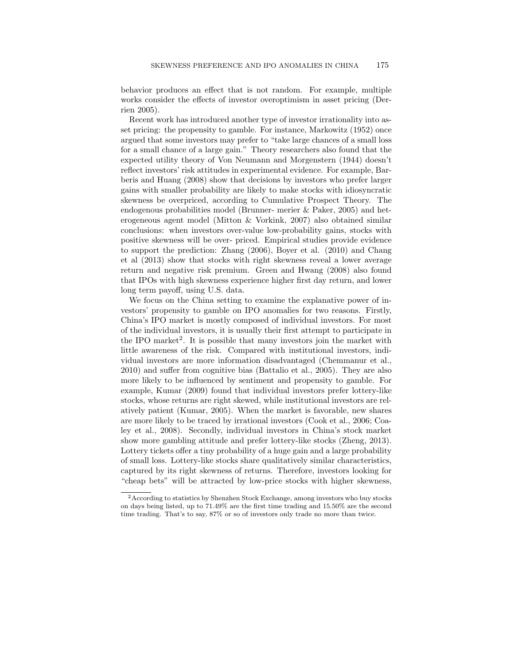behavior produces an effect that is not random. For example, multiple works consider the effects of investor overoptimism in asset pricing (Derrien 2005).

Recent work has introduced another type of investor irrationality into asset pricing: the propensity to gamble. For instance, Markowitz (1952) once argued that some investors may prefer to "take large chances of a small loss for a small chance of a large gain." Theory researchers also found that the expected utility theory of Von Neumann and Morgenstern (1944) doesn't reflect investors' risk attitudes in experimental evidence. For example, Barberis and Huang (2008) show that decisions by investors who prefer larger gains with smaller probability are likely to make stocks with idiosyncratic skewness be overpriced, according to Cumulative Prospect Theory. The endogenous probabilities model (Brunner- merier & Paker, 2005) and heterogeneous agent model (Mitton & Vorkink, 2007) also obtained similar conclusions: when investors over-value low-probability gains, stocks with positive skewness will be over- priced. Empirical studies provide evidence to support the prediction: Zhang (2006), Boyer et al. (2010) and Chang et al (2013) show that stocks with right skewness reveal a lower average return and negative risk premium. Green and Hwang (2008) also found that IPOs with high skewness experience higher first day return, and lower long term payoff, using U.S. data.

We focus on the China setting to examine the explanative power of investors' propensity to gamble on IPO anomalies for two reasons. Firstly, China's IPO market is mostly composed of individual investors. For most of the individual investors, it is usually their first attempt to participate in the IPO market<sup>2</sup>. It is possible that many investors join the market with little awareness of the risk. Compared with institutional investors, individual investors are more information disadvantaged (Chemmanur et al., 2010) and suffer from cognitive bias (Battalio et al., 2005). They are also more likely to be influenced by sentiment and propensity to gamble. For example, Kumar (2009) found that individual investors prefer lottery-like stocks, whose returns are right skewed, while institutional investors are relatively patient (Kumar, 2005). When the market is favorable, new shares are more likely to be traced by irrational investors (Cook et al., 2006; Coaley et al., 2008). Secondly, individual investors in China's stock market show more gambling attitude and prefer lottery-like stocks (Zheng, 2013). Lottery tickets offer a tiny probability of a huge gain and a large probability of small loss. Lottery-like stocks share qualitatively similar characteristics, captured by its right skewness of returns. Therefore, investors looking for "cheap bets" will be attracted by low-price stocks with higher skewness,

<sup>2</sup>According to statistics by Shenzhen Stock Exchange, among investors who buy stocks on days being listed, up to 71.49% are the first time trading and 15.50% are the second time trading. That's to say, 87% or so of investors only trade no more than twice.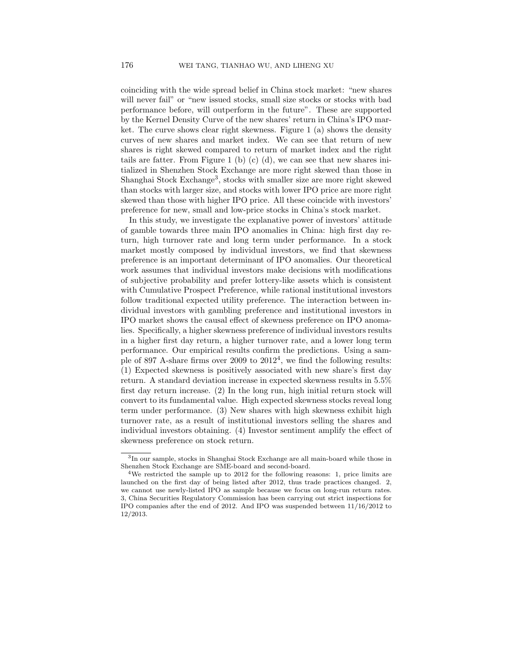coinciding with the wide spread belief in China stock market: "new shares will never fail" or "new issued stocks, small size stocks or stocks with bad performance before, will outperform in the future". These are supported by the Kernel Density Curve of the new shares' return in China's IPO market. The curve shows clear right skewness. Figure 1 (a) shows the density curves of new shares and market index. We can see that return of new shares is right skewed compared to return of market index and the right tails are fatter. From Figure 1 (b) (c) (d), we can see that new shares initialized in Shenzhen Stock Exchange are more right skewed than those in Shanghai Stock Exchange<sup>3</sup>, stocks with smaller size are more right skewed than stocks with larger size, and stocks with lower IPO price are more right skewed than those with higher IPO price. All these coincide with investors' preference for new, small and low-price stocks in China's stock market.

In this study, we investigate the explanative power of investors' attitude of gamble towards three main IPO anomalies in China: high first day return, high turnover rate and long term under performance. In a stock market mostly composed by individual investors, we find that skewness preference is an important determinant of IPO anomalies. Our theoretical work assumes that individual investors make decisions with modifications of subjective probability and prefer lottery-like assets which is consistent with Cumulative Prospect Preference, while rational institutional investors follow traditional expected utility preference. The interaction between individual investors with gambling preference and institutional investors in IPO market shows the causal effect of skewness preference on IPO anomalies. Specifically, a higher skewness preference of individual investors results in a higher first day return, a higher turnover rate, and a lower long term performance. Our empirical results confirm the predictions. Using a sample of 897 A-share firms over 2009 to  $2012<sup>4</sup>$ , we find the following results: (1) Expected skewness is positively associated with new share's first day return. A standard deviation increase in expected skewness results in 5.5% first day return increase. (2) In the long run, high initial return stock will convert to its fundamental value. High expected skewness stocks reveal long term under performance. (3) New shares with high skewness exhibit high turnover rate, as a result of institutional investors selling the shares and individual investors obtaining. (4) Investor sentiment amplify the effect of skewness preference on stock return.

<sup>3</sup> In our sample, stocks in Shanghai Stock Exchange are all main-board while those in Shenzhen Stock Exchange are SME-board and second-board.

<sup>&</sup>lt;sup>4</sup>We restricted the sample up to 2012 for the following reasons: 1, price limits are launched on the first day of being listed after 2012, thus trade practices changed. 2, we cannot use newly-listed IPO as sample because we focus on long-run return rates. 3, China Securities Regulatory Commission has been carrying out strict inspections for IPO companies after the end of 2012. And IPO was suspended between 11/16/2012 to 12/2013.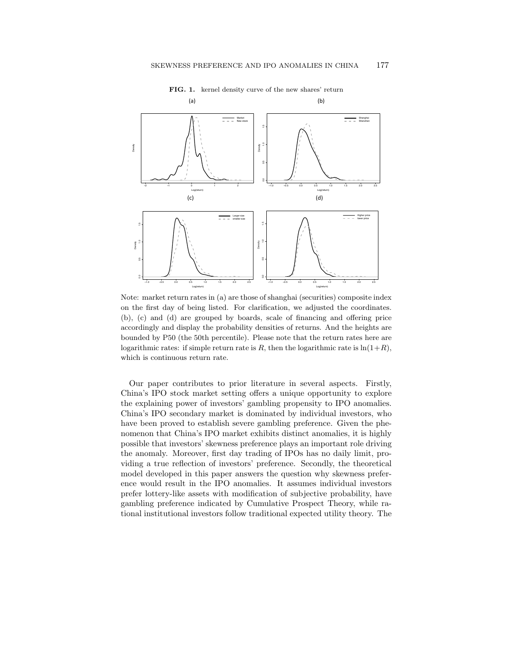

FIG. 1. kernel density curve of the new shares' return

Note: market return rates in (a) are those of shanghai (securities) composite index on the first day of being listed. For clarification, we adjusted the coordinates.  $(b)$ , (c) and (d) are grouped by boards, scale of financing and offering price. logarithmic rates: if simple return rate is R, then the logarithmic rate is  $\ln(1+R)$ , which is continuous return rate. accordingly and display the probability densities of returns. And the heights are bounded by P50 (the 50th percentile). Please note that the return rates here are

Our paper contributes to prior literature in several aspects. Firstly, China's IPO stock market setting offers a unique opportunity to explore the explaining power of investors' gambling propensity to IPO anomalies. China's IPO secondary market is dominated by individual investors, who  $\frac{1}{2}$  in  $\frac{1}{2}$  is a causal effect of stablish severe gambling preference. Given the pheand second prove of  $\frac{1}{2}$  higher skewness preference of  $\frac{1}{2}$  in a higher skewness results in a higher skewness results in a higher skewness results in a higher skewness results in a higher skewness results in a h nomenon that China's IPO market exhibits distinct anomalies, it is highly possible that investors' skewness preference plays an important role driving the anomaly. Moreover, first day trading of IPOs has no daily limit, providing a true reflection of investors' preference. Secondly, the theoretical model developed in this paper answers the question why skewness preference would result in the IPO anomalies. It assumes individual investors prefer lottery-like assets with modification of subjective probability, have gambling preference indicated by Cumulative Prospect Theory, while rational institutional investors follow traditional expected utility theory. The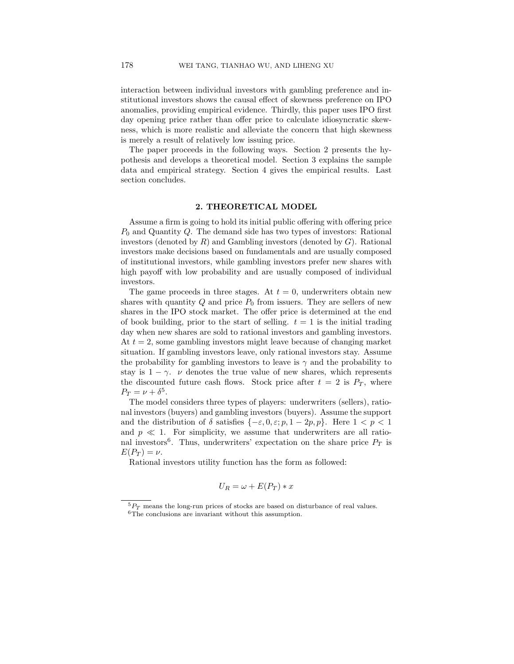interaction between individual investors with gambling preference and institutional investors shows the causal effect of skewness preference on IPO anomalies, providing empirical evidence. Thirdly, this paper uses IPO first day opening price rather than offer price to calculate idiosyncratic skewness, which is more realistic and alleviate the concern that high skewness is merely a result of relatively low issuing price.

The paper proceeds in the following ways. Section 2 presents the hypothesis and develops a theoretical model. Section 3 explains the sample data and empirical strategy. Section 4 gives the empirical results. Last section concludes.

## 2. THEORETICAL MODEL

Assume a firm is going to hold its initial public offering with offering price  $P_0$  and Quantity Q. The demand side has two types of investors: Rational investors (denoted by  $R$ ) and Gambling investors (denoted by  $G$ ). Rational investors make decisions based on fundamentals and are usually composed of institutional investors, while gambling investors prefer new shares with high payoff with low probability and are usually composed of individual investors.

The game proceeds in three stages. At  $t = 0$ , underwriters obtain new shares with quantity  $Q$  and price  $P_0$  from issuers. They are sellers of new shares in the IPO stock market. The offer price is determined at the end of book building, prior to the start of selling.  $t = 1$  is the initial trading day when new shares are sold to rational investors and gambling investors. At  $t = 2$ , some gambling investors might leave because of changing market situation. If gambling investors leave, only rational investors stay. Assume the probability for gambling investors to leave is  $\gamma$  and the probability to stay is  $1 - \gamma$ . *v* denotes the true value of new shares, which represents the discounted future cash flows. Stock price after  $t = 2$  is  $P_T$ , where  $P_T = \nu + \delta^5$ .

The model considers three types of players: underwriters (sellers), rational investors (buyers) and gambling investors (buyers). Assume the support and the distribution of  $\delta$  satisfies  $\{-\varepsilon, 0, \varepsilon; p, 1 - 2p, p\}$ . Here  $1 < p < 1$ and  $p \ll 1$ . For simplicity, we assume that underwriters are all rational investors<sup>6</sup>. Thus, underwriters' expectation on the share price  $P_T$  is  $E(P_T) = \nu.$ 

Rational investors utility function has the form as followed:

$$
U_R = \omega + E(P_T) * x
$$

 ${}^{5}P_{T}$  means the long-run prices of stocks are based on disturbance of real values.  $6$ The conclusions are invariant without this assumption.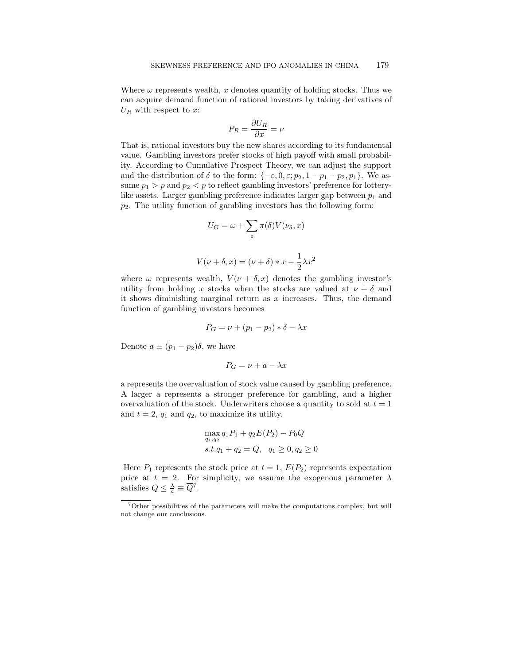Where  $\omega$  represents wealth, x denotes quantity of holding stocks. Thus we can acquire demand function of rational investors by taking derivatives of  $U_R$  with respect to x:

$$
P_R = \frac{\partial U_R}{\partial x} = \nu
$$

That is, rational investors buy the new shares according to its fundamental value. Gambling investors prefer stocks of high payoff with small probability. According to Cumulative Prospect Theory, we can adjust the support and the distribution of  $\delta$  to the form: { $-\varepsilon$ , 0,  $\varepsilon$ ;  $p_2$ ,  $1 - p_1 - p_2$ ,  $p_1$ }. We assume  $p_1 > p$  and  $p_2 < p$  to reflect gambling investors' preference for lotterylike assets. Larger gambling preference indicates larger gap between  $p_1$  and  $p_2$ . The utility function of gambling investors has the following form:

$$
U_G = \omega + \sum_{\varepsilon} \pi(\delta) V(\nu_{\delta}, x)
$$

$$
V(\nu + \delta, x) = (\nu + \delta) * x - \frac{1}{2}\lambda x^2
$$

where  $\omega$  represents wealth,  $V(\nu + \delta, x)$  denotes the gambling investor's utility from holding x stocks when the stocks are valued at  $\nu + \delta$  and it shows diminishing marginal return as  $x$  increases. Thus, the demand function of gambling investors becomes

$$
P_G = \nu + (p_1 - p_2) * \delta - \lambda x
$$

Denote  $a \equiv (p_1 - p_2)\delta$ , we have

$$
P_G = \nu + a - \lambda x
$$

a represents the overvaluation of stock value caused by gambling preference. A larger a represents a stronger preference for gambling, and a higher overvaluation of the stock. Underwriters choose a quantity to sold at  $t = 1$ and  $t = 2$ ,  $q_1$  and  $q_2$ , to maximize its utility.

$$
\max_{q_1, q_2} q_1 P_1 + q_2 E(P_2) - P_0 Q
$$
  
s.t.  $q_1 + q_2 = Q$ ,  $q_1 \ge 0$ ,  $q_2 \ge 0$ 

Here  $P_1$  represents the stock price at  $t = 1$ ,  $E(P_2)$  represents expectation price at  $t = 2$ . For simplicity, we assume the exogenous parameter  $\lambda$ satisfies  $Q \leq \frac{\lambda}{a} \equiv \overline{Q}^7$ .

 ${\rm ^7O}$  ther possibilities of the parameters will make the computations complex, but will not change our conclusions.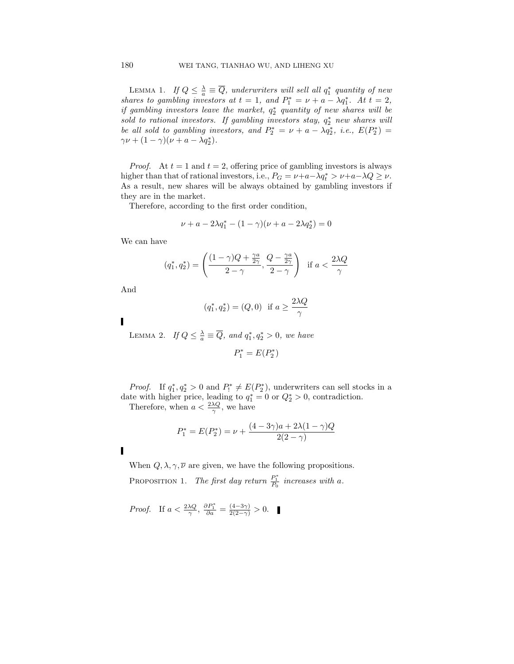LEMMA 1. If  $Q \leq \frac{\lambda}{a} \equiv \overline{Q}$ , underwriters will sell all  $q_1^*$  quantity of new shares to gambling investors at  $t = 1$ , and  $P_1^* = \nu + a - \lambda q_1^*$ . At  $t = 2$ , if gambling investors leave the market,  $q_2^*$  quantity of new shares will be sold to rational investors. If gambling investors stay,  $q_2^*$  new shares will be all sold to gambling investors, and  $P_2^* = \nu + a - \lambda q_2^*$ , i.e.,  $E(P_2^*) =$  $\gamma \nu + (1 - \gamma)(\nu + a - \lambda q_2^*).$ 

*Proof.* At  $t = 1$  and  $t = 2$ , offering price of gambling investors is always higher than that of rational investors, i.e.,  $P_G = \nu + a - \lambda q_t^* > \nu + a - \lambda Q \ge \nu$ . As a result, new shares will be always obtained by gambling investors if they are in the market.

Therefore, according to the first order condition,

$$
\nu + a - 2\lambda q_1^* - (1 - \gamma)(\nu + a - 2\lambda q_2^*) = 0
$$

We can have

$$
(q_1^*, q_2^*) = \left(\frac{(1-\gamma)Q + \frac{\gamma a}{2\gamma}}{2-\gamma}, \frac{Q - \frac{\gamma a}{2\gamma}}{2-\gamma}\right) \text{ if } a < \frac{2\lambda Q}{\gamma}
$$

And

$$
(q_1^*, q_2^*) = (Q, 0)
$$
 if  $a \ge \frac{2\lambda Q}{\gamma}$ 

LEMMA 2. If  $Q \leq \frac{\lambda}{a} \equiv \overline{Q}$ , and  $q_1^*, q_2^* > 0$ , we have

$$
P_1^{\ast}=E(P_2^{\ast})
$$

*Proof.* If  $q_1^*$ ,  $q_2^* > 0$  and  $P_1^* \neq E(P_2^*)$ , underwriters can sell stocks in a date with higher price, leading to  $q_1^* = 0$  or  $Q_2^* > 0$ , contradiction.

Therefore, when  $a < \frac{2\lambda Q}{\gamma}$ , we have

$$
P_1^* = E(P_2^*) = \nu + \frac{(4 - 3\gamma)a + 2\lambda(1 - \gamma)Q}{2(2 - \gamma)}
$$

I

When  $Q, \lambda, \gamma, \overline{\nu}$  are given, we have the following propositions. PROPOSITION 1. The first day return  $\frac{P_1^*}{P_0}$  increases with a.

*Proof.* If 
$$
a < \frac{2\lambda Q}{\gamma}
$$
,  $\frac{\partial P_1^*}{\partial a} = \frac{(4-3\gamma)}{2(2-\gamma)} > 0$ .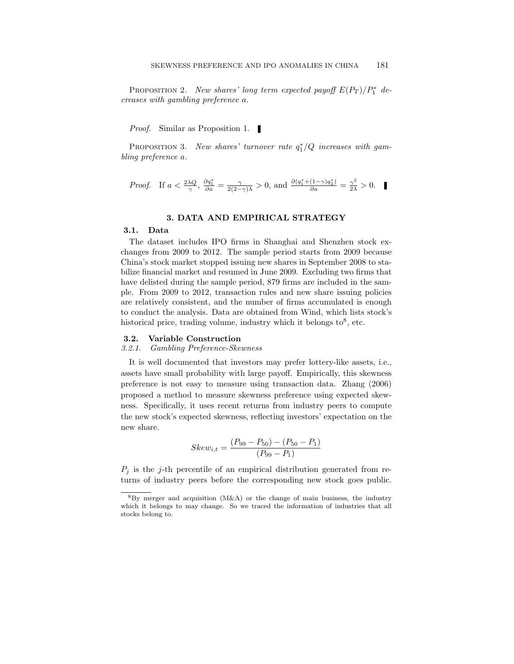PROPOSITION 2. New shares' long term expected payoff  $E(P_T)/P_1^*$  decreases with gambling preference a.

Proof. Similar as Proposition 1.

PROPOSITION 3. New shares' turnover rate  $q_1^*/Q$  increases with gambling preference a.

*Proof.* If 
$$
a < \frac{2\lambda Q}{\gamma}
$$
,  $\frac{\partial q_1^*}{\partial a} = \frac{\gamma}{2(2-\gamma)\lambda} > 0$ , and  $\frac{\partial (q_1^* + (1-\gamma)q_2^*)}{\partial a} = \frac{\gamma^2}{2\lambda} > 0$ .

## 3. DATA AND EMPIRICAL STRATEGY

## 3.1. Data

The dataset includes IPO firms in Shanghai and Shenzhen stock exchanges from 2009 to 2012. The sample period starts from 2009 because China's stock market stopped issuing new shares in September 2008 to stabilize financial market and resumed in June 2009. Excluding two firms that have delisted during the sample period, 879 firms are included in the sample. From 2009 to 2012, transaction rules and new share issuing policies are relatively consistent, and the number of firms accumulated is enough to conduct the analysis. Data are obtained from Wind, which lists stock's historical price, trading volume, industry which it belongs to  $8$ , etc.

### 3.2. Variable Construction

#### 3.2.1. Gambling Preference-Skewness

It is well documented that investors may prefer lottery-like assets, i.e., assets have small probability with large payoff. Empirically, this skewness preference is not easy to measure using transaction data. Zhang (2006) proposed a method to measure skewness preference using expected skewness. Specifically, it uses recent returns from industry peers to compute the new stock's expected skewness, reflecting investors' expectation on the new share.

$$
Skew_{i,t} = \frac{(P_{99} - P_{50}) - (P_{50} - P_1)}{(P_{99} - P_1)}
$$

 $P_j$  is the j-th percentile of an empirical distribution generated from returns of industry peers before the corresponding new stock goes public.

 $8\text{By merger and acquisition } (M\&A)$  or the change of main business, the industry which it belongs to may change. So we traced the information of industries that all stocks belong to.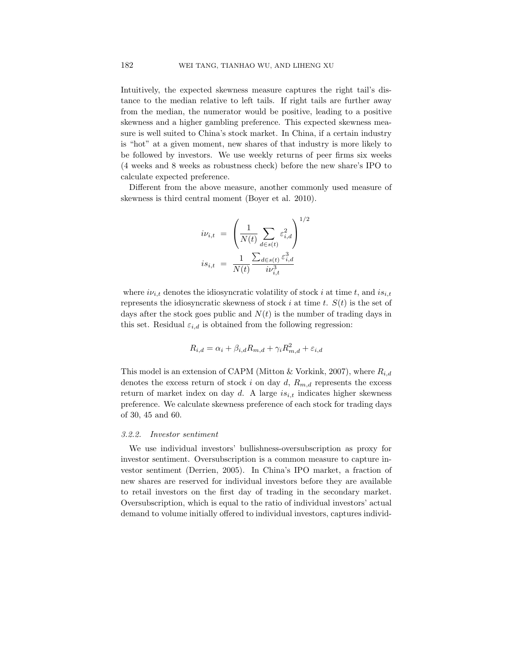Intuitively, the expected skewness measure captures the right tail's distance to the median relative to left tails. If right tails are further away from the median, the numerator would be positive, leading to a positive skewness and a higher gambling preference. This expected skewness measure is well suited to China's stock market. In China, if a certain industry is "hot" at a given moment, new shares of that industry is more likely to be followed by investors. We use weekly returns of peer firms six weeks (4 weeks and 8 weeks as robustness check) before the new share's IPO to calculate expected preference.

Different from the above measure, another commonly used measure of skewness is third central moment (Boyer et al. 2010).

$$
i\nu_{i,t} = \left(\frac{1}{N(t)} \sum_{d \in s(t)} \varepsilon_{i,d}^2\right)^{1/2}
$$
  

$$
is_{i,t} = \frac{1}{N(t)} \frac{\sum_{d \in s(t)} \varepsilon_{i,d}^3}{i\nu_{i,t}^3}
$$

where  $i\nu_{i,t}$  denotes the idiosyncratic volatility of stock i at time t, and  $is_{i,t}$ represents the idiosyncratic skewness of stock i at time t.  $S(t)$  is the set of days after the stock goes public and  $N(t)$  is the number of trading days in this set. Residual  $\varepsilon_{i,d}$  is obtained from the following regression:

$$
R_{i,d} = \alpha_i + \beta_{i,d} R_{m,d} + \gamma_i R_{m,d}^2 + \varepsilon_{i,d}
$$

This model is an extension of CAPM (Mitton & Vorkink, 2007), where  $R_{i,d}$ denotes the excess return of stock i on day d,  $R_{m,d}$  represents the excess return of market index on day  $d$ . A large  $is_{i,t}$  indicates higher skewness preference. We calculate skewness preference of each stock for trading days of 30, 45 and 60.

## 3.2.2. Investor sentiment

We use individual investors' bullishness-oversubscription as proxy for investor sentiment. Oversubscription is a common measure to capture investor sentiment (Derrien, 2005). In China's IPO market, a fraction of new shares are reserved for individual investors before they are available to retail investors on the first day of trading in the secondary market. Oversubscription, which is equal to the ratio of individual investors' actual demand to volume initially offered to individual investors, captures individ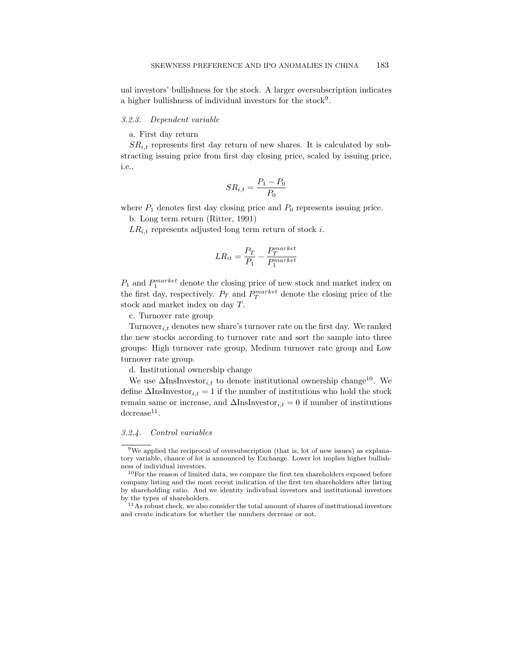ual investors' bullishness for the stock. A larger oversubscription indicates a higher bullishness of individual investors for the stock<sup>9</sup>.

#### 3.2.3. Dependent variable

a. First day return

 $SR_{i,t}$  represents first day return of new shares. It is calculated by substracting issuing price from first day closing price, scaled by issuing price, i.e.,

$$
SR_{i,t} = \frac{P_1 - P_0}{P_0}
$$

where  $P_1$  denotes first day closing price and  $P_0$  represents issuing price.

b. Long term return (Ritter, 1991)

 $LR_{i,t}$  represents adjusted long term return of stock i.

$$
LR_{it} = \frac{P_T}{P_1} - \frac{P_T^{market}}{P_1^{market}}
$$

 $P_1$  and  $P_1^{market}$  denote the closing price of new stock and market index on the first day, respectively.  $P_T$  and  $P_T^{market}$  denote the closing price of the stock and market index on day T.

c. Turnover rate group

Turnover<sub>i,t</sub> denotes new share's turnover rate on the first day. We ranked the new stocks according to turnover rate and sort the sample into three groups: High turnover rate group, Medium turnover rate group and Low turnover rate group.

d. Institutional ownership change

We use  $\Delta \text{InsInvestor}_{i,t}$  to denote institutional ownership change<sup>10</sup>. We define  $\Delta$ InsInvestor<sub>i,t</sub> = 1 if the number of institutions who hold the stock remain same or increase, and  $\Delta \text{InsInvestor}_{i,t} = 0$  if number of institutions  $\rm decrease^{11}$ .

#### 3.2.4. Control variables

<sup>&</sup>lt;sup>9</sup>We applied the reciprocal of oversubscription (that is, lot of new issues) as explanatory variable, chance of lot is announced by Exchange. Lower lot implies higher bullishness of individual investors.

 $10$ For the reason of limited data, we compare the first ten shareholders exposed before company listing and the most recent indication of the first ten shareholders after listing by shareholding ratio. And we identity individual investors and institutional investors by the types of shareholders.

 $11$ As robust check, we also consider the total amount of shares of institutional investors and create indicators for whether the numbers decrease or not.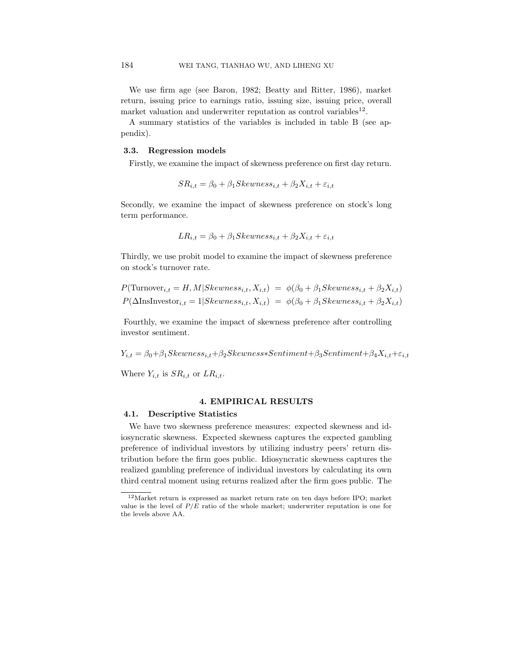We use firm age (see Baron, 1982; Beatty and Ritter, 1986), market return, issuing price to earnings ratio, issuing size, issuing price, overall market valuation and underwriter reputation as control variables<sup>12</sup>.

A summary statistics of the variables is included in table B (see appendix).

## 3.3. Regression models

Firstly, we examine the impact of skewness preference on first day return.

$$
SR_{i,t} = \beta_0 + \beta_1 Skewness_{i,t} + \beta_2 X_{i,t} + \varepsilon_{i,t}
$$

Secondly, we examine the impact of skewness preference on stock's long term performance.

$$
LR_{i,t} = \beta_0 + \beta_1 Skewness_{i,t} + \beta_2 X_{i,t} + \varepsilon_{i,t}
$$

Thirdly, we use probit model to examine the impact of skewness preference on stock's turnover rate.

$$
P(\text{Turnover}_{i,t} = H, M | \text{Skewness}_{i,t}, X_{i,t}) = \phi(\beta_0 + \beta_1 \text{Skewness}_{i,t} + \beta_2 X_{i,t})
$$
  

$$
P(\Delta \text{InsInvestor}_{i,t} = 1 | \text{Skewness}_{i,t}, X_{i,t}) = \phi(\beta_0 + \beta_1 \text{Skewness}_{i,t} + \beta_2 X_{i,t})
$$

Fourthly, we examine the impact of skewness preference after controlling investor sentiment.

 $Y_{i,t} = \beta_0 + \beta_1 Skewness_{i,t} + \beta_2 Skewness * Sentiment + \beta_3 Sentiment + \beta_4 X_{i,t} + \varepsilon_{i,t}$ 

Where  $Y_{i,t}$  is  $SR_{i,t}$  or  $LR_{i,t}$ .

## 4. EMPIRICAL RESULTS

## 4.1. Descriptive Statistics

We have two skewness preference measures: expected skewness and idiosyncratic skewness. Expected skewness captures the expected gambling preference of individual investors by utilizing industry peers' return distribution before the firm goes public. Idiosyncratic skewness captures the realized gambling preference of individual investors by calculating its own third central moment using returns realized after the firm goes public. The

<sup>12</sup>Market return is expressed as market return rate on ten days before IPO; market value is the level of  $P/E$  ratio of the whole market; underwriter reputation is one for the levels above AA.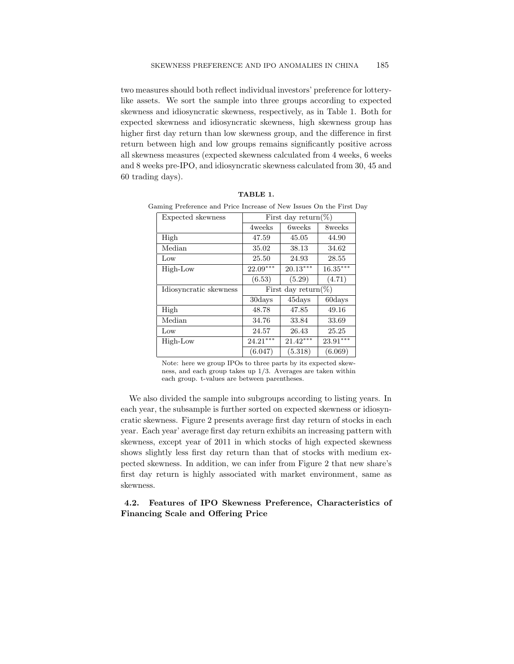two measures should both reflect individual investors' preference for lotterylike assets. We sort the sample into three groups according to expected skewness and idiosyncratic skewness, respectively, as in Table 1. Both for expected skewness and idiosyncratic skewness, high skewness group has higher first day return than low skewness group, and the difference in first return between high and low groups remains significantly positive across all skewness measures (expected skewness calculated from 4 weeks, 6 weeks and 8 weeks pre-IPO, and idiosyncratic skewness calculated from 30, 45 and 60 trading days).

| Expected skewness      | First day return(%) |                |            |  |  |  |
|------------------------|---------------------|----------------|------------|--|--|--|
|                        | 4weeks              | <b>6</b> weeks | 8weeks     |  |  |  |
| High                   | 47.59               | 45.05          | 44.90      |  |  |  |
| Median                 | 35.02               | 38.13          | 34.62      |  |  |  |
| Low                    | 25.50               | 24.93          | 28.55      |  |  |  |
| High-Low               | $22.09***$          | $20.13***$     | $16.35***$ |  |  |  |
|                        | (6.53)              | (5.29)         | (4.71)     |  |  |  |
| Idiosyncratic skewness | First day return(%) |                |            |  |  |  |
|                        |                     |                |            |  |  |  |
|                        | 30days              | 45days         | 60days     |  |  |  |
| High                   | 48.78               | 47.85          | 49.16      |  |  |  |
| Median                 | 34.76               | 33.84          | 33.69      |  |  |  |
| Low                    | 24.57               | 26.43          | 25.25      |  |  |  |
| High-Low               | $24.21***$          | $21.42***$     | $23.91***$ |  |  |  |

TABLE 1. Gaming Preference and Price Increase of New Issues On the First Day

Note: here we group IPOs to three parts by its expected skewness, and each group takes up 1/3. Averages are taken within each group. t-values are between parentheses.

We also divided the sample into subgroups according to listing years. In each year, the subsample is further sorted on expected skewness or idiosyncratic skewness. Figure 2 presents average first day return of stocks in each year. Each year' average first day return exhibits an increasing pattern with skewness, except year of 2011 in which stocks of high expected skewness shows slightly less first day return than that of stocks with medium expected skewness. In addition, we can infer from Figure 2 that new share's first day return is highly associated with market environment, same as skewness.

4.2. Features of IPO Skewness Preference, Characteristics of Financing Scale and Offering Price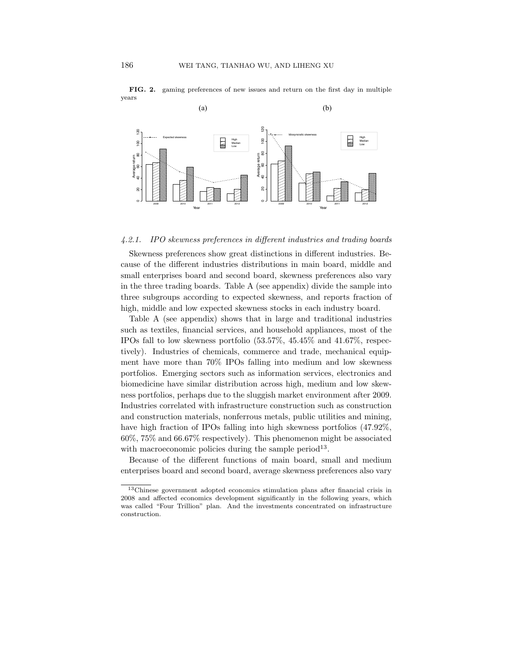

**FIG. 2.** gaming preferences of new issues and return on the first day in multiple years

## 4.2.1. IPO skewness preferences in different industries and trading boards

Skewness preferences show great distinctions in different industries. Because of the different industries distributions in main board, middle and small enterprises board and second board, skewness preferences also vary in the three trading boards. Table A (see appendix) divide the sample into three subgroups according to expected skewness, and reports fraction of high, middle and low expected skewness stocks in each industry board.

Table A (see appendix) shows that in large and traditional industries such as textiles, financial services, and household appliances, most of the IPOs fall to low skewness portfolio (53.57%, 45.45% and 41.67%, respectively). Industries of chemicals, commerce and trade, mechanical equipment have more than 70% IPOs falling into medium and low skewness portfolios. Emerging sectors such as information services, electronics and biomedicine have similar distribution across high, medium and low skewness portfolios, perhaps due to the sluggish market environment after 2009. Industries correlated with infrastructure construction such as construction and construction materials, nonferrous metals, public utilities and mining, have high fraction of IPOs falling into high skewness portfolios (47.92%, 60%, 75% and 66.67% respectively). This phenomenon might be associated with macroeconomic policies during the sample period<sup>13</sup>.

Because of the different functions of main board, small and medium enterprises board and second board, average skewness preferences also vary

<sup>13</sup>Chinese government adopted economics stimulation plans after financial crisis in 2008 and affected economics development significantly in the following years, which was called "Four Trillion" plan. And the investments concentrated on infrastructure construction.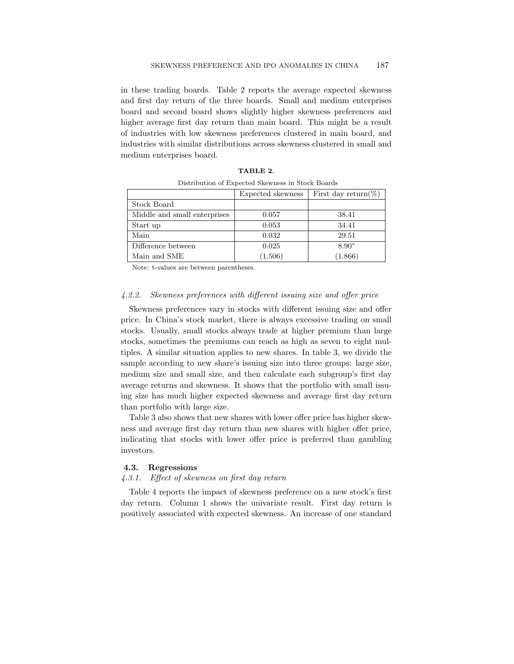in these trading boards. Table 2 reports the average expected skewness and first day return of the three boards. Small and medium enterprises board and second board shows slightly higher skewness preferences and higher average first day return than main board. This might be a result of industries with low skewness preferences clustered in main board, and industries with similar distributions across skewness clustered in small and medium enterprises board.

|                              | Expected skewness | First day return(%) |
|------------------------------|-------------------|---------------------|
| Stock Board                  |                   |                     |
| Middle and small enterprises | 0.057             | 38.41               |
| Start up                     | 0.053             | 34.41               |
| Main                         | 0.032             | 29.51               |
| Difference between           | 0.025             | $8.90*$             |
| Main and SME                 | (1.506)           | (1.866)             |

TABLE 2. Distribution of Expected Skewness in Stock Boards

Note: t-values are between parentheses.

## 4.2.2. Skewness preferences with different issuing size and offer price

Skewness preferences vary in stocks with different issuing size and offer price. In China's stock market, there is always excessive trading on small stocks. Usually, small stocks always trade at higher premium than large stocks, sometimes the premiums can reach as high as seven to eight multiples. A similar situation applies to new shares. In table 3, we divide the sample according to new share's issuing size into three groups: large size, medium size and small size, and then calculate each subgroup's first day average returns and skewness. It shows that the portfolio with small issuing size has much higher expected skewness and average first day return than portfolio with large size.

Table 3 also shows that new shares with lower offer price has higher skewness and average first day return than new shares with higher offer price, indicating that stocks with lower offer price is preferred than gambling investors.

## 4.3. Regressions

#### 4.3.1. Effect of skewness on first day return

Table 4 reports the impact of skewness preference on a new stock's first day return. Column 1 shows the univariate result. First day return is positively associated with expected skewness. An increase of one standard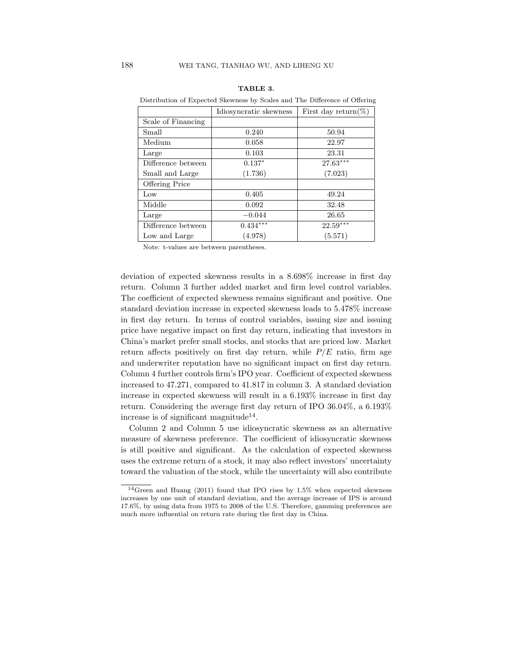|                       | Idiosyncratic skewness | First day return(%) |  |  |  |  |  |
|-----------------------|------------------------|---------------------|--|--|--|--|--|
| Scale of Financing    |                        |                     |  |  |  |  |  |
| Small                 | 0.240                  | 50.94               |  |  |  |  |  |
| Medium                | 0.058                  | 22.97               |  |  |  |  |  |
| Large                 | 0.103                  | 23.31               |  |  |  |  |  |
| Difference between    | $0.137*$               | $27.63***$          |  |  |  |  |  |
| Small and Large       | (1.736)                | (7.023)             |  |  |  |  |  |
| <b>Offering Price</b> |                        |                     |  |  |  |  |  |
| Low                   | 0.405                  | 49.24               |  |  |  |  |  |
| Middle                | 0.092                  | 32.48               |  |  |  |  |  |
| Large                 | $-0.044$               | 26.65               |  |  |  |  |  |
| Difference between    | $0.434***$             | $22.59***$          |  |  |  |  |  |
| Low and Large         | (4.978)                | (5.571)             |  |  |  |  |  |

#### TABLE 3.

Distribution of Expected Skewness by Scales and The Difference of Offering

Note: t-values are between parentheses.

deviation of expected skewness results in a 8.698% increase in first day return. Column 3 further added market and firm level control variables. The coefficient of expected skewness remains significant and positive. One standard deviation increase in expected skewness leads to 5.478% increase in first day return. In terms of control variables, issuing size and issuing price have negative impact on first day return, indicating that investors in China's market prefer small stocks, and stocks that are priced low. Market return affects positively on first day return, while  $P/E$  ratio, firm age and underwriter reputation have no significant impact on first day return. Column 4 further controls firm's IPO year. Coefficient of expected skewness increased to 47.271, compared to 41.817 in column 3. A standard deviation increase in expected skewness will result in a 6.193% increase in first day return. Considering the average first day return of IPO 36.04%, a 6.193% increase is of significant magnitude<sup>14</sup>.

Column 2 and Column 5 use idiosyncratic skewness as an alternative measure of skewness preference. The coefficient of idiosyncratic skewness is still positive and significant. As the calculation of expected skewness uses the extreme return of a stock, it may also reflect investors' uncertainty toward the valuation of the stock, while the uncertainty will also contribute

<sup>14</sup>Green and Huang (2011) found that IPO rises by 1.5% when expected skewness increases by one unit of standard deviation, and the average increase of IPS is around 17.6%, by using data from 1975 to 2008 of the U.S. Therefore, gamming preferences are much more influential on return rate during the first day in China.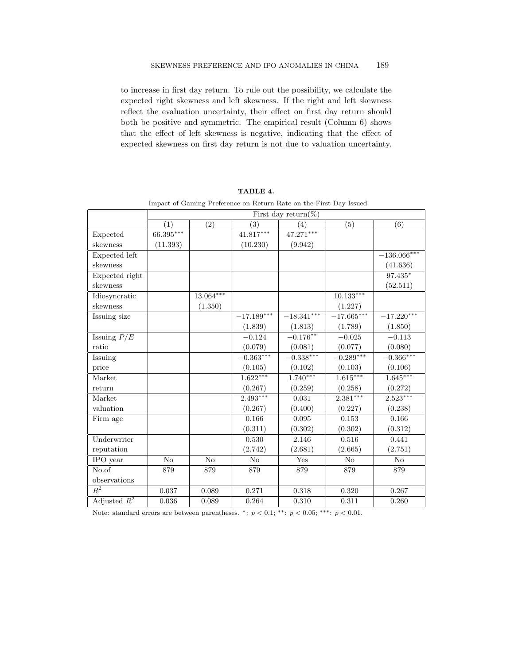to increase in first day return. To rule out the possibility, we calculate the expected right skewness and left skewness. If the right and left skewness reflect the evaluation uncertainty, their effect on first day return should both be positive and symmetric. The empirical result (Column 6) shows that the effect of left skewness is negative, indicating that the effect of expected skewness on first day return is not due to valuation uncertainty.

|                  | First day return(%) |                |              |              |                         |               |  |
|------------------|---------------------|----------------|--------------|--------------|-------------------------|---------------|--|
|                  | (1)                 | (2)            | (3)          | (4)          | (5)                     | (6)           |  |
| Expected         | $66.395***$         |                | $41.817***$  | $47.271***$  |                         |               |  |
| skewness         | (11.393)            |                | (10.230)     | (9.942)      |                         |               |  |
| Expected left    |                     |                |              |              |                         | $-136.066***$ |  |
| skewness         |                     |                |              |              |                         | (41.636)      |  |
| Expected right   |                     |                |              |              |                         | 97.435*       |  |
| skewness         |                     |                |              |              |                         | (52.511)      |  |
| Idiosyncratic    |                     | $13.064***$    |              |              | $10.133***$             |               |  |
| skewness         |                     | (1.350)        |              |              | (1.227)                 |               |  |
| Issuing size     |                     |                | $-17.189***$ | $-18.341***$ | $-\overline{17.665***}$ | $-17.220***$  |  |
|                  |                     |                | (1.839)      | (1.813)      | (1.789)                 | (1.850)       |  |
| Issuing $P/E$    |                     |                | $-0.124$     | $-0.176***$  | $-0.025$                | $-0.113$      |  |
| ratio            |                     |                | (0.079)      | (0.081)      | (0.077)                 | (0.080)       |  |
| Issuing          |                     |                | $-0.363***$  | $-0.338***$  | $-0.289***$             | $-0.366***$   |  |
| price            |                     |                | (0.105)      | (0.102)      | (0.103)                 | (0.106)       |  |
| Market           |                     |                | $1.622***$   | $1.740***$   | $1.615***$              | $1.645***$    |  |
| return           |                     |                | (0.267)      | (0.259)      | (0.258)                 | (0.272)       |  |
| Market           |                     |                | $2.493***$   | 0.031        | $2.381***$              | $2.523***$    |  |
| valuation        |                     |                | (0.267)      | (0.400)      | (0.227)                 | (0.238)       |  |
| Firm age         |                     |                | 0.166        | 0.095        | 0.153                   | 0.166         |  |
|                  |                     |                | (0.311)      | (0.302)      | (0.302)                 | (0.312)       |  |
| Underwriter      |                     |                | 0.530        | 2.146        | 0.516                   | 0.441         |  |
| reputation       |                     |                | (2.742)      | (2.681)      | (2.665)                 | (2.751)       |  |
| IPO year         | N <sub>o</sub>      | N <sub>o</sub> | No           | Yes          | No                      | No            |  |
| $No.$ of         | 879                 | 879            | 879          | 879          | 879                     | 879           |  |
| observations     |                     |                |              |              |                         |               |  |
| $\overline{R^2}$ | 0.037               | 0.089          | 0.271        | 0.318        | 0.320                   | 0.267         |  |
| Adjusted $R^2$   | 0.036               | 0.089          | 0.264        | 0.310        | 0.311                   | 0.260         |  |

TABLE 4.

Impact of Gaming Preference on Return Rate on the First Day Issued

Note: standard errors are between parentheses. \*:  $p < 0.1$ ; \*\*:  $p < 0.05$ ; \*\*\*:  $p < 0.01$ .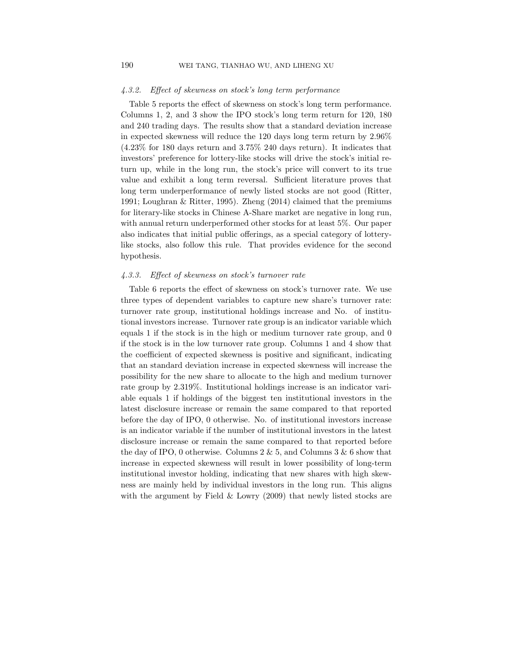#### 4.3.2. Effect of skewness on stock's long term performance

Table 5 reports the effect of skewness on stock's long term performance. Columns 1, 2, and 3 show the IPO stock's long term return for 120, 180 and 240 trading days. The results show that a standard deviation increase in expected skewness will reduce the 120 days long term return by 2.96% (4.23% for 180 days return and 3.75% 240 days return). It indicates that investors' preference for lottery-like stocks will drive the stock's initial return up, while in the long run, the stock's price will convert to its true value and exhibit a long term reversal. Sufficient literature proves that long term underperformance of newly listed stocks are not good (Ritter, 1991; Loughran & Ritter, 1995). Zheng (2014) claimed that the premiums for literary-like stocks in Chinese A-Share market are negative in long run, with annual return underperformed other stocks for at least 5%. Our paper also indicates that initial public offerings, as a special category of lotterylike stocks, also follow this rule. That provides evidence for the second hypothesis.

## 4.3.3. Effect of skewness on stock's turnover rate

Table 6 reports the effect of skewness on stock's turnover rate. We use three types of dependent variables to capture new share's turnover rate: turnover rate group, institutional holdings increase and No. of institutional investors increase. Turnover rate group is an indicator variable which equals 1 if the stock is in the high or medium turnover rate group, and 0 if the stock is in the low turnover rate group. Columns 1 and 4 show that the coefficient of expected skewness is positive and significant, indicating that an standard deviation increase in expected skewness will increase the possibility for the new share to allocate to the high and medium turnover rate group by 2.319%. Institutional holdings increase is an indicator variable equals 1 if holdings of the biggest ten institutional investors in the latest disclosure increase or remain the same compared to that reported before the day of IPO, 0 otherwise. No. of institutional investors increase is an indicator variable if the number of institutional investors in the latest disclosure increase or remain the same compared to that reported before the day of IPO, 0 otherwise. Columns  $2 \& 5$ , and Columns  $3 \& 6$  show that increase in expected skewness will result in lower possibility of long-term institutional investor holding, indicating that new shares with high skewness are mainly held by individual investors in the long run. This aligns with the argument by Field  $&$  Lowry (2009) that newly listed stocks are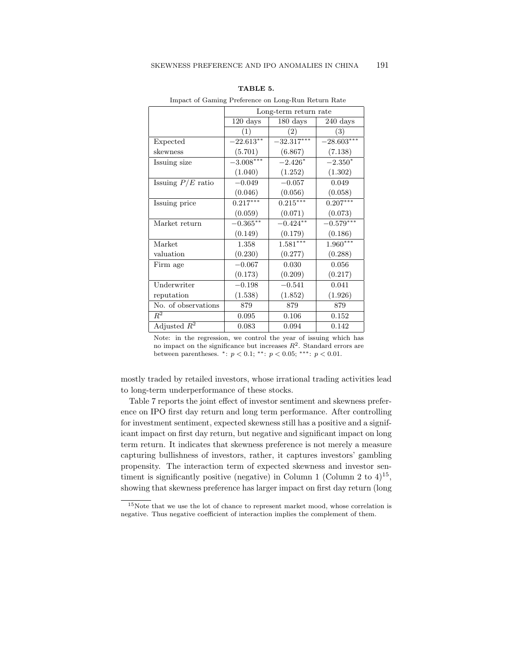|                     | Long-term return rate |                    |                    |  |  |  |  |
|---------------------|-----------------------|--------------------|--------------------|--|--|--|--|
|                     | $120 \text{ days}$    | $180 \text{ days}$ | $240 \text{ days}$ |  |  |  |  |
|                     | $\left(1\right)$      | $\left( 2\right)$  | $\left( 3\right)$  |  |  |  |  |
| Expected            | $-22.613***$          | $-32.317***$       | $-28.603***$       |  |  |  |  |
| skewness            | (5.701)               | (6.867)            | (7.138)            |  |  |  |  |
| Issuing size        | $-3.008***$           | $-2.426*$          | $-2.350*$          |  |  |  |  |
|                     | (1.040)               | (1.252)            | (1.302)            |  |  |  |  |
| Issuing $P/E$ ratio | $-0.049$              | $-0.057$           | 0.049              |  |  |  |  |
|                     | (0.046)               | (0.056)            | (0.058)            |  |  |  |  |
| Issuing price       | $0.217***$            | $0.215***$         | $0.207***$         |  |  |  |  |
|                     | (0.059)               | (0.071)            | (0.073)            |  |  |  |  |
| Market return       | $-0.365***$           | $-0.424***$        | $-0.579***$        |  |  |  |  |
|                     | (0.149)               | (0.179)            | (0.186)            |  |  |  |  |
| Market              | 1.358                 | $1.581***$         | $1.960***$         |  |  |  |  |
| valuation           | (0.230)               | (0.277)            | (0.288)            |  |  |  |  |
| Firm age            | $-0.067$              | 0.030              | 0.056              |  |  |  |  |
|                     | (0.173)               | (0.209)            | (0.217)            |  |  |  |  |
| Underwriter         | $-0.198$              | $-0.541$           | 0.041              |  |  |  |  |
| reputation          | (1.538)               | (1.852)            | (1.926)            |  |  |  |  |
| No. of observations | 879                   | 879                | 879                |  |  |  |  |
| $R^2$               | 0.095                 | 0.106              | 0.152              |  |  |  |  |
| Adjusted $R^2$      | 0.083                 | 0.094              | 0.142              |  |  |  |  |

| TABLE | a |
|-------|---|
|-------|---|

Impact of Gaming Preference on Long-Run Return Rate

Note: in the regression, we control the year of issuing which has no impact on the significance but increases  $R^2$ . Standard errors are between parentheses. \*:  $p < 0.1$ ; \*\*:  $p < 0.05$ ; \*\*\*:  $p < 0.01$ .

mostly traded by retailed investors, whose irrational trading activities lead to long-term underperformance of these stocks.

Table 7 reports the joint effect of investor sentiment and skewness preference on IPO first day return and long term performance. After controlling for investment sentiment, expected skewness still has a positive and a significant impact on first day return, but negative and significant impact on long term return. It indicates that skewness preference is not merely a measure capturing bullishness of investors, rather, it captures investors' gambling propensity. The interaction term of expected skewness and investor sentiment is significantly positive (negative) in Column 1 (Column 2 to  $4)^{15}$ , showing that skewness preference has larger impact on first day return (long

 $^{15}\rm{Note}$  that we use the lot of chance to represent market mood, whose correlation is negative. Thus negative coefficient of interaction implies the complement of them.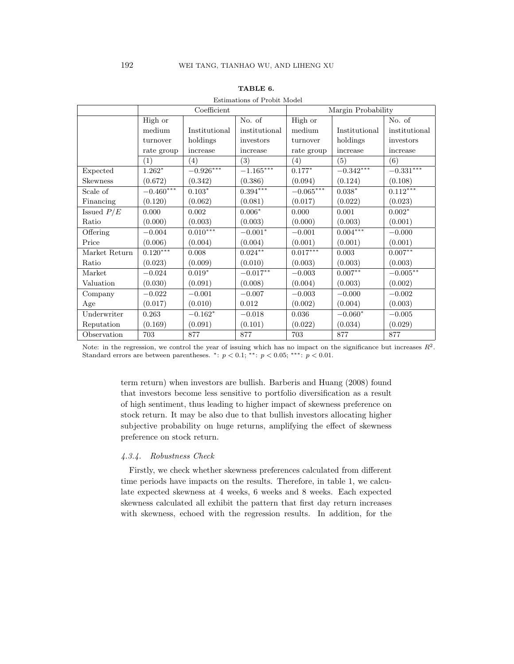|                 |                  | Coefficient    |                    | Margin Probability |                  |                    |  |
|-----------------|------------------|----------------|--------------------|--------------------|------------------|--------------------|--|
|                 | High or          |                | No. of             | High or            |                  | No. of             |  |
|                 | medium           | Institutional  | institutional      | medium             | Institutional    | institutional      |  |
|                 | turnover         | holdings       | investors          | turnover           | holdings         | investors          |  |
|                 | rate group       | increase       | increase           | rate group         | increase         | increase           |  |
|                 | $\overline{(1)}$ | (4)            | $\overline{(3)}$   | $\overline{(4)}$   | $\overline{(5)}$ | $\overline{(6)}$   |  |
| Expected        | $1.262*$         | $-0.926***$    | $-1.165***$        | $0.177*$           | $-0.342***$      | $-0.331***$        |  |
| <b>Skewness</b> | (0.672)          | (0.342)        | (0.386)            | (0.094)            | (0.124)          | (0.108)            |  |
| Scale of        | $-0.460***$      | $0.103^{\ast}$ | $0.394***$         | $-0.065***$        | $0.038^{\ast}$   | $0.112***$         |  |
| Financing       | (0.120)          | (0.062)        | (0.081)            | (0.017)            | (0.022)          | (0.023)            |  |
| Issued $P/E$    | 0.000            | 0.002          | $0.006*$           | 0.000              | 0.001            | $0.002*$           |  |
| Ratio           | (0.000)          | (0.003)        | (0.003)            | (0.000)            | (0.003)          | (0.001)            |  |
| Offering        | $-0.004$         | $0.010***$     | $-0.001*$          | $-0.001$           | $0.004***$       | $-0.000$           |  |
| Price           | (0.006)          | (0.004)        | (0.004)            | (0.001)            | (0.001)          | (0.001)            |  |
| Market Return   | $0.120***$       | 0.008          | $0.024^{\ast\ast}$ | $0.017***$         | 0.003            | $0.007^{\ast\ast}$ |  |
| Ratio           | (0.023)          | (0.009)        | (0.010)            | (0.003)            | (0.003)          | (0.003)            |  |
| Market          | $-0.024$         | $0.019*$       | $-0.017**$         | $-0.003$           | $0.007**$        | $-0.005***$        |  |
| Valuation       | (0.030)          | (0.091)        | (0.008)            | (0.004)            | (0.003)          | (0.002)            |  |
| Company         | $-0.022$         | $-0.001$       | $-0.007$           | $-0.003$           | $-0.000$         | $-0.002$           |  |
| Age             | (0.017)          | (0.010)        | 0.012              | (0.002)            | (0.004)          | (0.003)            |  |
| Underwriter     | 0.263            | $-0.162*$      | $-0.018$           | 0.036              | $-0.060*$        | $-0.005$           |  |
| Reputation      | (0.169)          | (0.091)        | (0.101)            | (0.022)            | (0.034)          | (0.029)            |  |
| Observation     | 703              | 877            | 877                | 703                | 877              | 877                |  |

## TABLE 6.

#### Estimations of Probit Model

Note: in the regression, we control the year of issuing which has no impact on the significance but increases  $R^2$ . Standard errors are between parentheses. \*:  $p < 0.1$ ; \*\*:  $p < 0.05$ ; \*\*\*:  $p < 0.01$ .

> term return) when investors are bullish. Barberis and Huang (2008) found that investors become less sensitive to portfolio diversification as a result of high sentiment, thus leading to higher impact of skewness preference on stock return. It may be also due to that bullish investors allocating higher subjective probability on huge returns, amplifying the effect of skewness preference on stock return.

## 4.3.4. Robustness Check

Firstly, we check whether skewness preferences calculated from different time periods have impacts on the results. Therefore, in table 1, we calculate expected skewness at 4 weeks, 6 weeks and 8 weeks. Each expected skewness calculated all exhibit the pattern that first day return increases with skewness, echoed with the regression results. In addition, for the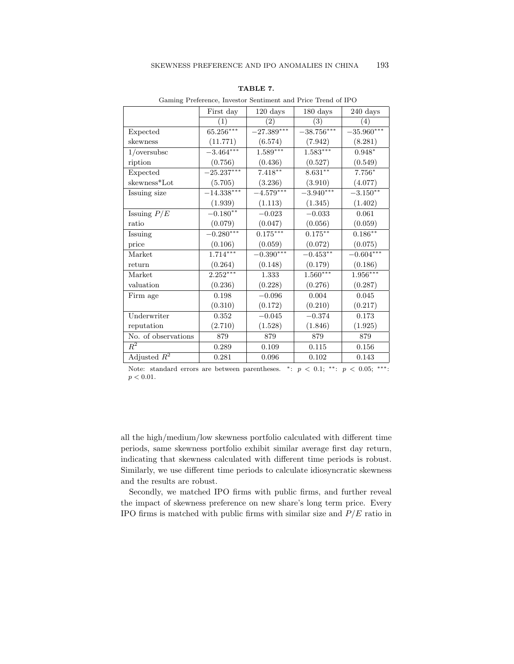|                     | First day    | $120 \text{ days}$ | $180 \text{ days}$ | 240 days          |
|---------------------|--------------|--------------------|--------------------|-------------------|
|                     | (1)          | $\left( 2\right)$  | $\left( 3\right)$  | $\left( 4\right)$ |
| Expected            | 65.256***    | $-27.389***$       | $-38.756***$       | $-35.960***$      |
| skewness            | (11.771)     | (6.574)            | (7.942)            | (8.281)           |
| 1/oversubsc         | $-3.464***$  | $1.589***$         | $1.583***$         | $0.948^{\ast}$    |
| ription             | (0.756)      | (0.436)            | (0.527)            | (0.549)           |
| Expected            | $-25.237***$ | $7.418***$         | $8.631***$         | $7.756^{\ast}$    |
| skewness*Lot        | (5.705)      | (3.236)            | (3.910)            | (4.077)           |
| Issuing size        | $-14.338***$ | $-4.579***$        | $-3.940***$        | $-3.150**$        |
|                     | (1.939)      | (1.113)            | (1.345)            | (1.402)           |
| Issuing $P/E$       | $-0.180**$   | $-0.023$           | $-0.033$           | 0.061             |
| ratio               | (0.079)      | (0.047)            | (0.056)            | (0.059)           |
| Issuing             | $-0.280***$  | $0.175***$         | $0.175***$         | $0.186***$        |
| price               | (0.106)      | (0.059)            | (0.072)            | (0.075)           |
| Market              | $1.714***$   | $-0.390***$        | $-0.453***$        | $-0.604***$       |
| return              | (0.264)      | (0.148)            | (0.179)            | (0.186)           |
| Market              | $2.252***$   | 1.333              | $1.560***$         | $1.956***$        |
| valuation           | (0.236)      | (0.228)            | (0.276)            | (0.287)           |
| Firm age            | 0.198        | $-0.096$           | 0.004              | 0.045             |
|                     | (0.310)      | (0.172)            | (0.210)            | (0.217)           |
| Underwriter         | 0.352        | $-0.045$           | $-0.374$           | 0.173             |
| reputation          | (2.710)      | (1.528)            | (1.846)            | (1.925)           |
| No. of observations | 879          | 879                | 879                | 879               |
| $\,R^2$             | 0.289        | 0.109              | 0.115              | 0.156             |
| Adjusted $R^2$      | 0.281        | 0.096              | 0.102              | 0.143             |

TABLE 7.

Gaming Preference, Investor Sentiment and Price Trend of IPO

Note: standard errors are between parentheses. \*:  $p < 0.1$ ; \*\*:  $p < 0.05$ ; \*\*\*:  $p < 0.01$ .

all the high/medium/low skewness portfolio calculated with different time periods, same skewness portfolio exhibit similar average first day return, indicating that skewness calculated with different time periods is robust. Similarly, we use different time periods to calculate idiosyncratic skewness and the results are robust.

Secondly, we matched IPO firms with public firms, and further reveal the impact of skewness preference on new share's long term price. Every IPO firms is matched with public firms with similar size and  $P/E$  ratio in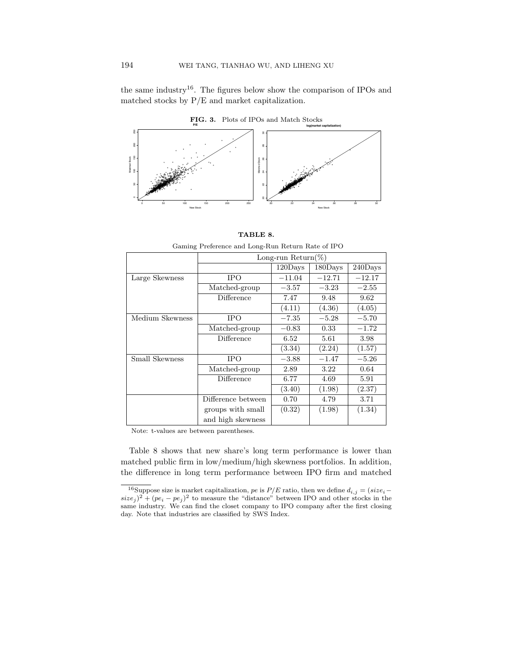the same industry<sup>16</sup>. The figures below show the comparison of IPOs and matched stocks by P/E and market capitalization.





 Table 8 shows that new share's long term performance is lower than matched public firm Gaming Preference and Long-Run Return Rate of IPO performance between  $\text{Long-run Return}(\%)$ skewness, indicating that new share's long term performance decreases with skewness with skewness with skewness  $\vert$  120Days  $\vert$  180Days  $\vert$  240Days  $\vert$ preferences. Large Skewness IPO −11.04 −12.71 −12.17  $(4.11)$   $(4.36)$ Long-run Return(%)  $-0.83$   $0.33$   $-1$ Large Skewness  $\text{mce}$  |  $6.52$  |  $5.61$  | 3  $(3.34)$   $(2.24)$ IPO  $-3.88$   $-1.47$   $-5.26$ 12.89 (4.64)  $3.22$ Medium Skewness  $\frac{1}{100}$  -7.35 -5.28 -5.28 Difference 6.77 4.69 5.91 <sup>16</sup> Suppose size is market capitalization, pe is P/E ratio, then we define di,j = (sizei − sizej ) groups with small (0.32) (1.98) (1.34)  $\frac{3.71}{(1.34)}$ pej )  $\begin{bmatrix} 2 \text{cusp} & \text{with similar} \\ \text{and high skewness} \end{bmatrix}$   $(2.52)$   $(2.50)$ 120Days 180Days 240Days Matched-group  $-3.57$   $-3.23$   $-2.55$ Difference 7.47 9.48 9.62  $(4.05)$ Medium Skewness IPO  $-7.35$   $-5.28$   $-5.70$ Matched-group  $-0.83$  0.33  $-1.72$ Difference 6.52 5.61 3.98  $(1.57)$ Small Skewness Matched-group  $(3.40)$   $(1.98)$   $(2.37)$ Difference between  $\begin{vmatrix} 0.70 & 4.79 \end{vmatrix}$ 

TABLE 8.

closet company to IPO company after the first closing day. Note that industries are classified by SWSS close are closed by SWSS close are closed by SWSS close are closed by SWSS close are closed by SWSS close are closed by Note: t-values are between parentheses.

Table 8 shows that new share's long term performance is lower than matched public firm in low/medium/high skewness portfolios. In addition, the difference in long term performance between IPO firm and matched

<sup>&</sup>lt;sup>16</sup>Suppose size is market capitalization, pe is  $P/E$  ratio, then we define  $d_{i,j} = (size_i$  $size_j$ )<sup>2</sup> + ( $pe_i - pe_j$ )<sup>2</sup> to measure the "distance" between IPO and other stocks in the same industry. We can find the closet company to IPO company after the first closing day. Note that industries are classified by SWS Index.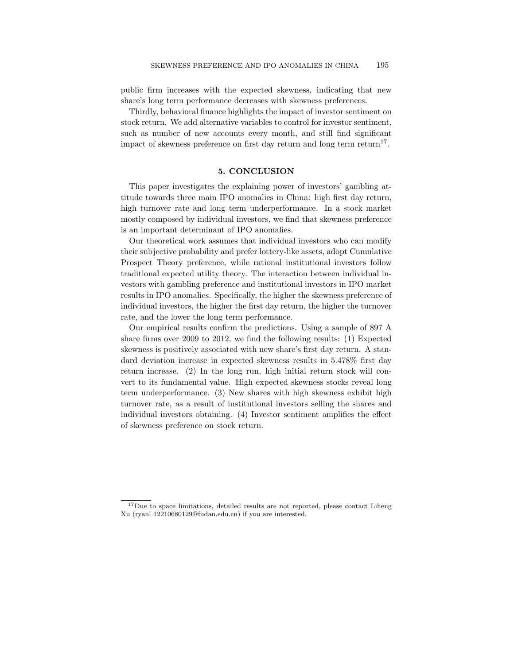public firm increases with the expected skewness, indicating that new share's long term performance decreases with skewness preferences.

Thirdly, behavioral finance highlights the impact of investor sentiment on stock return. We add alternative variables to control for investor sentiment, such as number of new accounts every month, and still find significant impact of skewness preference on first day return and long term return<sup>17</sup>.

## 5. CONCLUSION

This paper investigates the explaining power of investors' gambling attitude towards three main IPO anomalies in China: high first day return, high turnover rate and long term underperformance. In a stock market mostly composed by individual investors, we find that skewness preference is an important determinant of IPO anomalies.

Our theoretical work assumes that individual investors who can modify their subjective probability and prefer lottery-like assets, adopt Cumulative Prospect Theory preference, while rational institutional investors follow traditional expected utility theory. The interaction between individual investors with gambling preference and institutional investors in IPO market results in IPO anomalies. Specifically, the higher the skewness preference of individual investors, the higher the first day return, the higher the turnover rate, and the lower the long term performance.

Our empirical results confirm the predictions. Using a sample of 897 A share firms over 2009 to 2012, we find the following results: (1) Expected skewness is positively associated with new share's first day return. A standard deviation increase in expected skewness results in 5.478% first day return increase. (2) In the long run, high initial return stock will convert to its fundamental value. High expected skewness stocks reveal long term underperformance. (3) New shares with high skewness exhibit high turnover rate, as a result of institutional investors selling the shares and individual investors obtaining. (4) Investor sentiment amplifies the effect of skewness preference on stock return.

<sup>17</sup>Due to space limitations, detailed results are not reported, please contact Liheng Xu (ryanl 12210680129@fudan.edu.cn) if you are interested.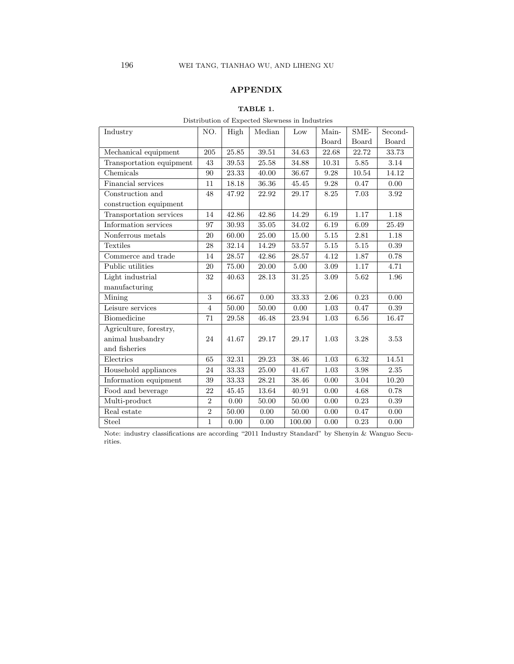# APPENDIX

## TABLE 1.

Distribution of Expected Skewness in Industries

| Industry                 | NO.            | High  | Median | Low    | Main- | SME-     | Second-  |
|--------------------------|----------------|-------|--------|--------|-------|----------|----------|
|                          |                |       |        |        | Board | Board    | Board    |
| Mechanical equipment     | 205            | 25.85 | 39.51  | 34.63  | 22.68 | 22.72    | 33.73    |
| Transportation equipment | 43             | 39.53 | 25.58  | 34.88  | 10.31 | 5.85     | $3.14\,$ |
| Chemicals                | 90             | 23.33 | 40.00  | 36.67  | 9.28  | 10.54    | 14.12    |
| Financial services       | 11             | 18.18 | 36.36  | 45.45  | 9.28  | 0.47     | 0.00     |
| Construction and         | 48             | 47.92 | 22.92  | 29.17  | 8.25  | 7.03     | 3.92     |
| construction equipment   |                |       |        |        |       |          |          |
| Transportation services  | 14             | 42.86 | 42.86  | 14.29  | 6.19  | 1.17     | 1.18     |
| Information services     | 97             | 30.93 | 35.05  | 34.02  | 6.19  | 6.09     | 25.49    |
| Nonferrous metals        | 20             | 60.00 | 25.00  | 15.00  | 5.15  | 2.81     | 1.18     |
| Textiles                 | 28             | 32.14 | 14.29  | 53.57  | 5.15  | 5.15     | $0.39\,$ |
| Commerce and trade       | 14             | 28.57 | 42.86  | 28.57  | 4.12  | 1.87     | 0.78     |
| Public utilities         | 20             | 75.00 | 20.00  | 5.00   | 3.09  | 1.17     | 4.71     |
| Light industrial         | 32             | 40.63 | 28.13  | 31.25  | 3.09  | 5.62     | 1.96     |
| manufacturing            |                |       |        |        |       |          |          |
| Mining                   | 3              | 66.67 | 0.00   | 33.33  | 2.06  | 0.23     | 0.00     |
| Leisure services         | $\overline{4}$ | 50.00 | 50.00  | 0.00   | 1.03  | 0.47     | 0.39     |
| Biomedicine              | 71             | 29.58 | 46.48  | 23.94  | 1.03  | 6.56     | 16.47    |
| Agriculture, forestry,   |                |       |        |        |       |          |          |
| animal husbandry         | 24             | 41.67 | 29.17  | 29.17  | 1.03  | 3.28     | 3.53     |
| and fisheries            |                |       |        |        |       |          |          |
| Electrics                | 65             | 32.31 | 29.23  | 38.46  | 1.03  | 6.32     | 14.51    |
| Household appliances     | 24             | 33.33 | 25.00  | 41.67  | 1.03  | $3.98\,$ | 2.35     |
| Information equipment    | 39             | 33.33 | 28.21  | 38.46  | 0.00  | 3.04     | 10.20    |
| Food and beverage        | 22             | 45.45 | 13.64  | 40.91  | 0.00  | 4.68     | 0.78     |
| Multi-product            | $\overline{2}$ | 0.00  | 50.00  | 50.00  | 0.00  | 0.23     | $0.39\,$ |
| Real estate              | $\overline{2}$ | 50.00 | 0.00   | 50.00  | 0.00  | 0.47     | 0.00     |
| Steel                    | $\mathbf{1}$   | 0.00  | 0.00   | 100.00 | 0.00  | 0.23     | 0.00     |

Note: industry classifications are according "2011 Industry Standard" by Shenyin & Wanguo Securities.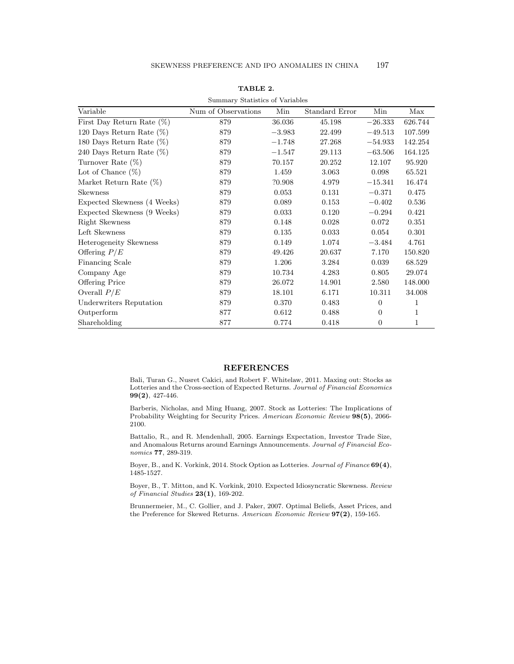| Summary Statistics of Variables |                     |          |                |                  |              |  |  |  |
|---------------------------------|---------------------|----------|----------------|------------------|--------------|--|--|--|
| Variable                        | Num of Observations | Min      | Standard Error | Min              | Max          |  |  |  |
| First Day Return Rate $(\%)$    | 879                 | 36.036   | 45.198         | $-26.333$        | 626.744      |  |  |  |
| 120 Days Return Rate $(\%)$     | 879                 | $-3.983$ | 22.499         | $-49.513$        | 107.599      |  |  |  |
| 180 Days Return Rate $(\%)$     | 879                 | $-1.748$ | 27.268         | $-54.933$        | 142.254      |  |  |  |
| 240 Days Return Rate $(\%)$     | 879                 | $-1.547$ | 29.113         | $-63.506$        | 164.125      |  |  |  |
| Turnover Rate $(\%)$            | 879                 | 70.157   | 20.252         | 12.107           | 95.920       |  |  |  |
| Lot of Chance $(\%)$            | 879                 | 1.459    | 3.063          | 0.098            | 65.521       |  |  |  |
| Market Return Rate (%)          | 879                 | ?0.908   | 4.979          | $-15.341$        | 16.474       |  |  |  |
| <b>Skewness</b>                 | 879                 | 0.053    | 0.131          | $-0.371$         | 0.475        |  |  |  |
| Expected Skewness (4 Weeks)     | 879                 | 0.089    | 0.153          | $-0.402$         | 0.536        |  |  |  |
| Expected Skewness (9 Weeks)     | 879                 | 0.033    | 0.120          | $-0.294$         | 0.421        |  |  |  |
| Right Skewness                  | 879                 | 0.148    | 0.028          | 0.072            | 0.351        |  |  |  |
| Left Skewness                   | 879                 | 0.135    | 0.033          | 0.054            | 0.301        |  |  |  |
| Heterogeneity Skewness          | 879                 | 0.149    | 1.074          | $-3.484$         | 4.761        |  |  |  |
| Offering $P/E$                  | 879                 | 49.426   | 20.637         | 7.170            | 150.820      |  |  |  |
| <b>Financing Scale</b>          | 879                 | 1.206    | 3.284          | 0.039            | 68.529       |  |  |  |
| Company Age                     | 879                 | 10.734   | 4.283          | 0.805            | 29.074       |  |  |  |
| <b>Offering Price</b>           | 879                 | 26.072   | 14.901         | 2.580            | 148.000      |  |  |  |
| Overall $P/E$                   | 879                 | 18.101   | 6.171          | 10.311           | 34.008       |  |  |  |
| <b>Underwriters Reputation</b>  | 879                 | 0.370    | 0.483          | $\overline{0}$   | 1            |  |  |  |
| Outperform                      | 877                 | 0.612    | 0.488          | $\overline{0}$   | $\mathbf{1}$ |  |  |  |
| Shareholding                    | 877                 | 0.774    | 0.418          | $\boldsymbol{0}$ | 1            |  |  |  |

TABLE 2.

#### REFERENCES

Bali, Turan G., Nusret Cakici, and Robert F. Whitelaw, 2011. Maxing out: Stocks as Lotteries and the Cross-section of Expected Returns. Journal of Financial Economics 99(2), 427-446.

Barberis, Nicholas, and Ming Huang, 2007. Stock as Lotteries: The Implications of Probability Weighting for Security Prices. American Economic Review 98(5), 2066-2100.

Battalio, R., and R. Mendenhall, 2005. Earnings Expectation, Investor Trade Size, and Anomalous Returns around Earnings Announcements. Journal of Financial Economics 77, 289-319.

Boyer, B., and K. Vorkink, 2014. Stock Option as Lotteries. Journal of Finance 69(4), 1485-1527.

Boyer, B., T. Mitton, and K. Vorkink, 2010. Expected Idiosyncratic Skewness. Review of Financial Studies 23(1), 169-202.

Brunnermeier, M., C. Gollier, and J. Paker, 2007. Optimal Beliefs, Asset Prices, and the Preference for Skewed Returns. American Economic Review 97(2), 159-165.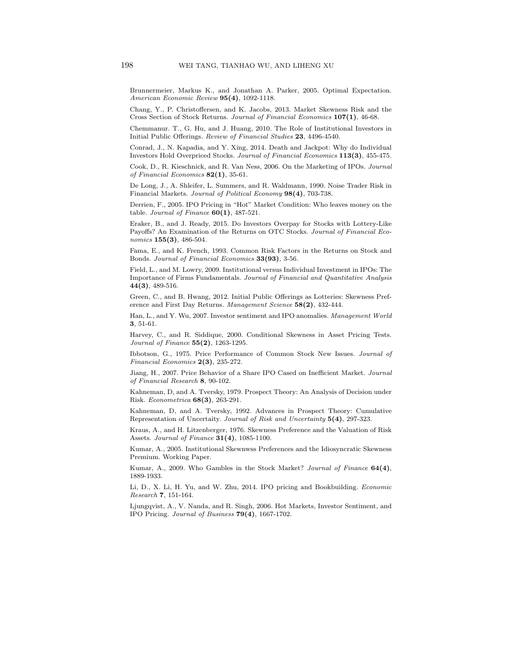Brunnermeier, Markus K., and Jonathan A. Parker, 2005. Optimal Expectation. American Economic Review 95(4), 1092-1118.

Chang, Y., P. Christoffersen, and K. Jacobs, 2013. Market Skewness Risk and the Cross Section of Stock Returns. Journal of Financial Economics 107(1), 46-68.

Chemmanur. T., G. Hu, and J. Huang, 2010. The Role of Institutional Investors in Initial Public Offerings. Review of Financial Studies 23, 4496-4540.

Conrad, J., N. Kapadia, and Y. Xing, 2014. Death and Jackpot: Why do Individual Investors Hold Overpriced Stocks. Journal of Financial Economics 113(3), 455-475.

Cook, D., R. Kieschnick, and R. Van Ness, 2006. On the Marketing of IPOs. Journal of Financial Economics  $82(1)$ , 35-61.

De Long, J., A. Shleifer, L. Summers, and R. Waldmann, 1990. Noise Trader Risk in Financial Markets. Journal of Political Economy 98(4), 703-738.

Derrien, F., 2005. IPO Pricing in "Hot" Market Condition: Who leaves money on the table. Journal of Finance  $60(1)$ , 487-521.

Eraker, B., and J. Ready, 2015. Do Investors Overpay for Stocks with Lottery-Like Payoffs? An Examination of the Returns on OTC Stocks. Journal of Financial Economics  $155(3)$ , 486-504.

Fama, E., and K. French, 1993. Common Risk Factors in the Returns on Stock and Bonds. Journal of Financial Economics 33(93), 3-56.

Field, L., and M. Lowry, 2009. Institutional versus Individual Investment in IPOs: The Importance of Firms Fundamentals. Journal of Financial and Quantitative Analysis  $44(3)$ , 489-516.

Green, C., and B. Hwang, 2012. Initial Public Offerings as Lotteries: Skewness Preference and First Day Returns. Management Science 58(2), 432-444.

Han, L., and Y. Wu, 2007. Investor sentiment and IPO anomalies. Management World 3, 51-61.

Harvey, C., and R. Siddique, 2000. Conditional Skewness in Asset Pricing Tests. *Journal of Finance*  $55(2)$ , 1263-1295.

Ibbotson, G., 1975. Price Performance of Common Stock New Issues. Journal of Financial Economics  $2(3)$ , 235-272.

Jiang, H., 2007. Price Behavior of a Share IPO Cased on Inefficient Market. Journal of Financial Research 8, 90-102.

Kahneman, D, and A. Tversky, 1979. Prospect Theory: An Analysis of Decision under Risk. Econometrica 68(3), 263-291.

Kahneman, D, and A. Tversky, 1992. Advances in Prospect Theory: Cumulative Representation of Uncertaity. Journal of Risk and Uncertainty 5(4), 297-323.

Kraus, A., and H. Litzenberger, 1976. Skewness Preference and the Valuation of Risk Assets. Journal of Finance  $31(4)$ , 1085-1100.

Kumar, A., 2005. Institutional Skewnwss Preferences and the Idiosyncratic Skewness Premium. Working Paper.

Kumar, A., 2009. Who Gambles in the Stock Market? Journal of Finance 64(4), 1889-1933.

Li, D., X. Li, H. Yu, and W. Zhu, 2014. IPO pricing and Bookbuilding. Economic Research 7, 151-164.

Ljungqvist, A., V. Nanda, and R. Singh, 2006. Hot Markets, Investor Sentiment, and IPO Pricing. Journal of Business 79(4), 1667-1702.